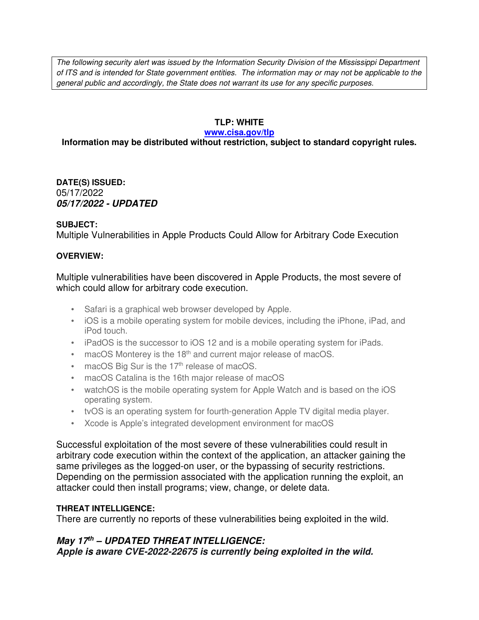The following security alert was issued by the Information Security Division of the Mississippi Department of ITS and is intended for State government entities. The information may or may not be applicable to the general public and accordingly, the State does not warrant its use for any specific purposes.

### **TLP: WHITE**

#### **www.cisa.gov/tlp**

## **Information may be distributed without restriction, subject to standard copyright rules.**

**DATE(S) ISSUED:** 05/17/2022 *05/17/2022 - UPDATED*

### **SUBJECT:**

Multiple Vulnerabilities in Apple Products Could Allow for Arbitrary Code Execution

### **OVERVIEW:**

Multiple vulnerabilities have been discovered in Apple Products, the most severe of which could allow for arbitrary code execution.

- Safari is a graphical web browser developed by Apple.
- iOS is a mobile operating system for mobile devices, including the iPhone, iPad, and iPod touch.
- iPadOS is the successor to iOS 12 and is a mobile operating system for iPads.
- macOS Monterey is the  $18<sup>th</sup>$  and current major release of macOS.
- $\bullet$  macOS Big Sur is the 17<sup>th</sup> release of macOS.
- macOS Catalina is the 16th major release of macOS
- watchOS is the mobile operating system for Apple Watch and is based on the iOS operating system.
- tvOS is an operating system for fourth-generation Apple TV digital media player.
- Xcode is Apple's integrated development environment for macOS

Successful exploitation of the most severe of these vulnerabilities could result in arbitrary code execution within the context of the application, an attacker gaining the same privileges as the logged-on user, or the bypassing of security restrictions. Depending on the permission associated with the application running the exploit, an attacker could then install programs; view, change, or delete data.

## **THREAT INTELLIGENCE:**

There are currently no reports of these vulnerabilities being exploited in the wild.

# *May 17th – UPDATED THREAT INTELLIGENCE:*

*Apple is aware CVE-2022-22675 is currently being exploited in the wild.*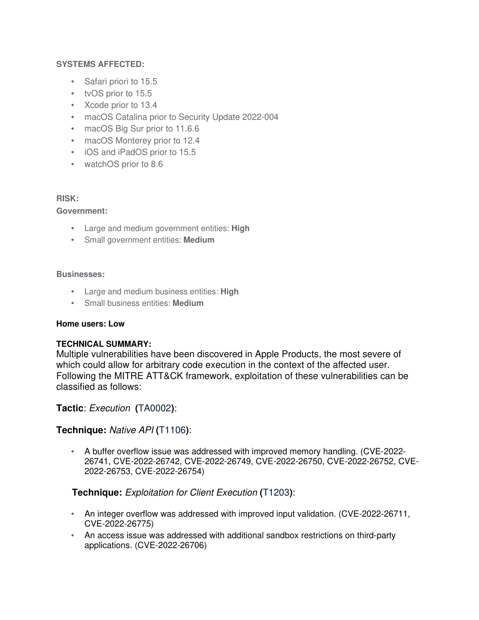### **SYSTEMS AFFECTED:**

- Safari priori to 15.5
- tvOS prior to 15.5
- Xcode prior to 13.4
- macOS Catalina prior to Security Update 2022-004
- macOS Big Sur prior to 11.6.6
- macOS Monterey prior to 12.4
- iOS and iPadOS prior to 15.5
- watchOS prior to 8.6

### **RISK:**

### **Government:**

- Large and medium government entities: **High**
- Small government entities: **Medium**

#### **Businesses:**

- Large and medium business entities: **High**
- Small business entities: **Medium**

### **Home users: Low**

### **TECHNICAL SUMMARY:**

Multiple vulnerabilities have been discovered in Apple Products, the most severe of which could allow for arbitrary code execution in the context of the affected user. Following the MITRE ATT&CK framework, exploitation of these vulnerabilities can be classified as follows:

## **Tactic**: Execution **(**TA0002**)**:

### **Technique:** Native API **(**T1106**)**:

• A buffer overflow issue was addressed with improved memory handling. (CVE-2022- 26741, CVE-2022-26742, CVE-2022-26749, CVE-2022-26750, CVE-2022-26752, CVE-2022-26753, CVE-2022-26754)

## **Technique:** Exploitation for Client Execution **(**T1203**)**:

- An integer overflow was addressed with improved input validation. (CVE-2022-26711, CVE-2022-26775)
- An access issue was addressed with additional sandbox restrictions on third-party applications. (CVE-2022-26706)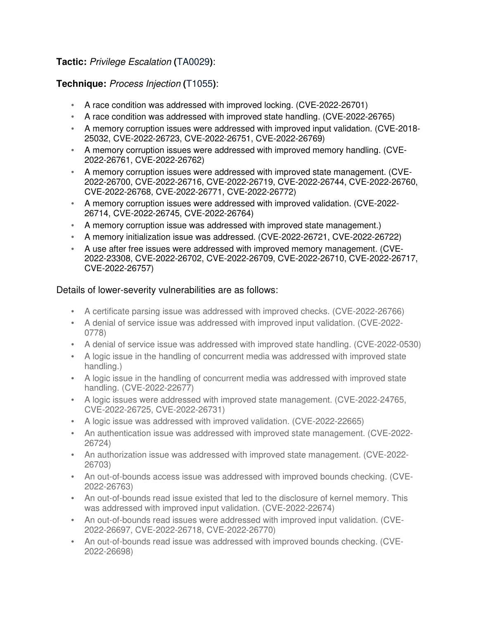# **Tactic:** Privilege Escalation **(**TA0029**)**:

# **Technique:** Process Injection **(**T1055**)**:

- A race condition was addressed with improved locking. (CVE-2022-26701)
- A race condition was addressed with improved state handling. (CVE-2022-26765)
- A memory corruption issues were addressed with improved input validation. (CVE-2018- 25032, CVE-2022-26723, CVE-2022-26751, CVE-2022-26769)
- A memory corruption issues were addressed with improved memory handling. (CVE-2022-26761, CVE-2022-26762)
- A memory corruption issues were addressed with improved state management. (CVE-2022-26700, CVE-2022-26716, CVE-2022-26719, CVE-2022-26744, CVE-2022-26760, CVE-2022-26768, CVE-2022-26771, CVE-2022-26772)
- A memory corruption issues were addressed with improved validation. (CVE-2022- 26714, CVE-2022-26745, CVE-2022-26764)
- A memory corruption issue was addressed with improved state management.)
- A memory initialization issue was addressed. (CVE-2022-26721, CVE-2022-26722)
- A use after free issues were addressed with improved memory management. (CVE-2022-23308, CVE-2022-26702, CVE-2022-26709, CVE-2022-26710, CVE-2022-26717, CVE-2022-26757)

## Details of lower-severity vulnerabilities are as follows:

- A certificate parsing issue was addressed with improved checks. (CVE-2022-26766)
- A denial of service issue was addressed with improved input validation. (CVE-2022- 0778)
- A denial of service issue was addressed with improved state handling. (CVE-2022-0530)
- A logic issue in the handling of concurrent media was addressed with improved state handling.)
- A logic issue in the handling of concurrent media was addressed with improved state handling. (CVE-2022-22677)
- A logic issues were addressed with improved state management. (CVE-2022-24765, CVE-2022-26725, CVE-2022-26731)
- A logic issue was addressed with improved validation. (CVE-2022-22665)
- An authentication issue was addressed with improved state management. (CVE-2022- 26724)
- An authorization issue was addressed with improved state management. (CVE-2022- 26703)
- An out-of-bounds access issue was addressed with improved bounds checking. (CVE-2022-26763)
- An out-of-bounds read issue existed that led to the disclosure of kernel memory. This was addressed with improved input validation. (CVE-2022-22674)
- An out-of-bounds read issues were addressed with improved input validation. (CVE-2022-26697, CVE-2022-26718, CVE-2022-26770)
- An out-of-bounds read issue was addressed with improved bounds checking. (CVE-2022-26698)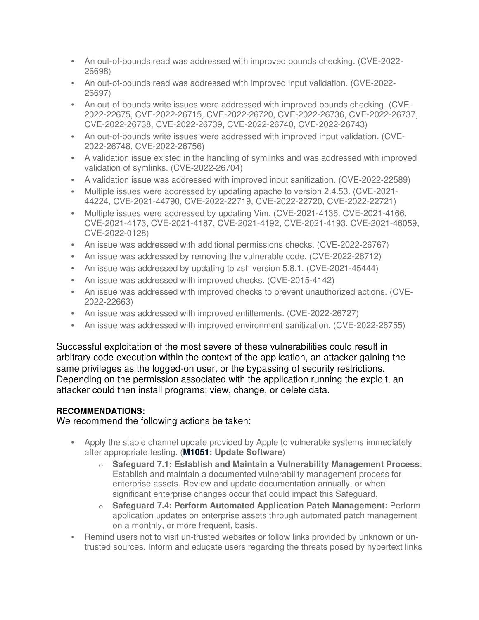- An out-of-bounds read was addressed with improved bounds checking. (CVE-2022- 26698)
- An out-of-bounds read was addressed with improved input validation. (CVE-2022- 26697)
- An out-of-bounds write issues were addressed with improved bounds checking. (CVE-2022-22675, CVE-2022-26715, CVE-2022-26720, CVE-2022-26736, CVE-2022-26737, CVE-2022-26738, CVE-2022-26739, CVE-2022-26740, CVE-2022-26743)
- An out-of-bounds write issues were addressed with improved input validation. (CVE-2022-26748, CVE-2022-26756)
- A validation issue existed in the handling of symlinks and was addressed with improved validation of symlinks. (CVE-2022-26704)
- A validation issue was addressed with improved input sanitization. (CVE-2022-22589)
- Multiple issues were addressed by updating apache to version 2.4.53. (CVE-2021- 44224, CVE-2021-44790, CVE-2022-22719, CVE-2022-22720, CVE-2022-22721)
- Multiple issues were addressed by updating Vim. (CVE-2021-4136, CVE-2021-4166, CVE-2021-4173, CVE-2021-4187, CVE-2021-4192, CVE-2021-4193, CVE-2021-46059, CVE-2022-0128)
- An issue was addressed with additional permissions checks. (CVE-2022-26767)
- An issue was addressed by removing the vulnerable code. (CVE-2022-26712)
- An issue was addressed by updating to zsh version 5.8.1. (CVE-2021-45444)
- An issue was addressed with improved checks. (CVE-2015-4142)
- An issue was addressed with improved checks to prevent unauthorized actions. (CVE-2022-22663)
- An issue was addressed with improved entitlements. (CVE-2022-26727)
- An issue was addressed with improved environment sanitization. (CVE-2022-26755)

Successful exploitation of the most severe of these vulnerabilities could result in arbitrary code execution within the context of the application, an attacker gaining the same privileges as the logged-on user, or the bypassing of security restrictions. Depending on the permission associated with the application running the exploit, an attacker could then install programs; view, change, or delete data.

# **RECOMMENDATIONS:**

We recommend the following actions be taken:

- Apply the stable channel update provided by Apple to vulnerable systems immediately after appropriate testing. (**M1051: Update Software**)
	- o **Safeguard 7.1: Establish and Maintain a Vulnerability Management Process**: Establish and maintain a documented vulnerability management process for enterprise assets. Review and update documentation annually, or when significant enterprise changes occur that could impact this Safeguard.
	- o **Safeguard 7.4: Perform Automated Application Patch Management:** Perform application updates on enterprise assets through automated patch management on a monthly, or more frequent, basis.
- Remind users not to visit un-trusted websites or follow links provided by unknown or untrusted sources. Inform and educate users regarding the threats posed by hypertext links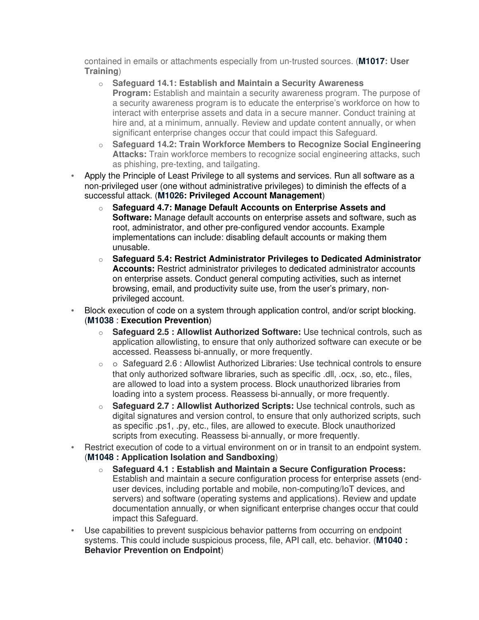contained in emails or attachments especially from un-trusted sources. (**M1017: User Training**)

- o **Safeguard 14.1: Establish and Maintain a Security Awareness Program:** Establish and maintain a security awareness program. The purpose of a security awareness program is to educate the enterprise's workforce on how to interact with enterprise assets and data in a secure manner. Conduct training at hire and, at a minimum, annually. Review and update content annually, or when significant enterprise changes occur that could impact this Safeguard.
- o **Safeguard 14.2: Train Workforce Members to Recognize Social Engineering Attacks:** Train workforce members to recognize social engineering attacks, such as phishing, pre-texting, and tailgating.
- Apply the Principle of Least Privilege to all systems and services. Run all software as a non-privileged user (one without administrative privileges) to diminish the effects of a successful attack. (**M1026: Privileged Account Management**)
	- o **Safeguard 4.7: Manage Default Accounts on Enterprise Assets and Software:** Manage default accounts on enterprise assets and software, such as root, administrator, and other pre-configured vendor accounts. Example implementations can include: disabling default accounts or making them unusable.
	- o **Safeguard 5.4: Restrict Administrator Privileges to Dedicated Administrator Accounts:** Restrict administrator privileges to dedicated administrator accounts on enterprise assets. Conduct general computing activities, such as internet browsing, email, and productivity suite use, from the user's primary, nonprivileged account.
- Block execution of code on a system through application control, and/or script blocking. (**M1038** : **Execution Prevention**)
	- o **Safeguard 2.5 : Allowlist Authorized Software:** Use technical controls, such as application allowlisting, to ensure that only authorized software can execute or be accessed. Reassess bi-annually, or more frequently.
	- $\circ$   $\circ$  Safeguard 2.6 : Allowlist Authorized Libraries: Use technical controls to ensure that only authorized software libraries, such as specific .dll, .ocx, .so, etc., files, are allowed to load into a system process. Block unauthorized libraries from loading into a system process. Reassess bi-annually, or more frequently.
	- o **Safeguard 2.7 : Allowlist Authorized Scripts:** Use technical controls, such as digital signatures and version control, to ensure that only authorized scripts, such as specific .ps1, .py, etc., files, are allowed to execute. Block unauthorized scripts from executing. Reassess bi-annually, or more frequently.
- Restrict execution of code to a virtual environment on or in transit to an endpoint system. (**M1048 : Application Isolation and Sandboxing**)
	- o **Safeguard 4.1 : Establish and Maintain a Secure Configuration Process:**  Establish and maintain a secure configuration process for enterprise assets (enduser devices, including portable and mobile, non-computing/IoT devices, and servers) and software (operating systems and applications). Review and update documentation annually, or when significant enterprise changes occur that could impact this Safeguard.
- Use capabilities to prevent suspicious behavior patterns from occurring on endpoint systems. This could include suspicious process, file, API call, etc. behavior. (**M1040 : Behavior Prevention on Endpoint**)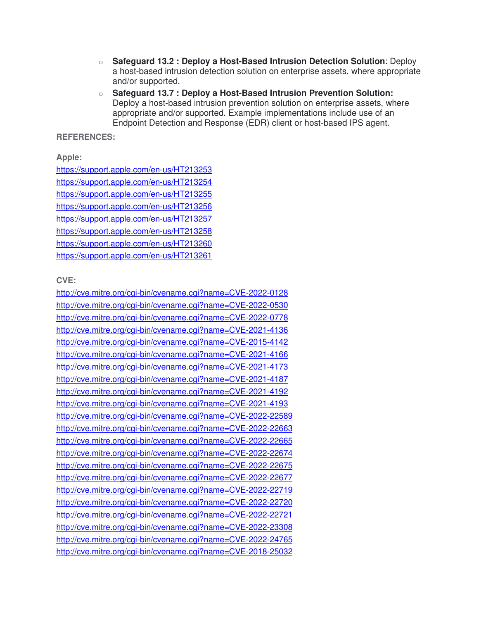- o **Safeguard 13.2 : Deploy a Host-Based Intrusion Detection Solution**: Deploy a host-based intrusion detection solution on enterprise assets, where appropriate and/or supported.
- o **Safeguard 13.7 : Deploy a Host-Based Intrusion Prevention Solution:** Deploy a host-based intrusion prevention solution on enterprise assets, where appropriate and/or supported. Example implementations include use of an Endpoint Detection and Response (EDR) client or host-based IPS agent.

#### **REFERENCES:**

**Apple:**

https://support.apple.com/en-us/HT213253 https://support.apple.com/en-us/HT213254 https://support.apple.com/en-us/HT213255 https://support.apple.com/en-us/HT213256 https://support.apple.com/en-us/HT213257 https://support.apple.com/en-us/HT213258 https://support.apple.com/en-us/HT213260 https://support.apple.com/en-us/HT213261

**CVE:**

http://cve.mitre.org/cgi-bin/cvename.cgi?name=CVE-2022-0128 http://cve.mitre.org/cgi-bin/cvename.cgi?name=CVE-2022-0530 http://cve.mitre.org/cgi-bin/cvename.cgi?name=CVE-2022-0778 http://cve.mitre.org/cgi-bin/cvename.cgi?name=CVE-2021-4136 http://cve.mitre.org/cgi-bin/cvename.cgi?name=CVE-2015-4142 http://cve.mitre.org/cgi-bin/cvename.cgi?name=CVE-2021-4166 http://cve.mitre.org/cgi-bin/cvename.cgi?name=CVE-2021-4173 http://cve.mitre.org/cgi-bin/cvename.cgi?name=CVE-2021-4187 http://cve.mitre.org/cgi-bin/cvename.cgi?name=CVE-2021-4192 http://cve.mitre.org/cgi-bin/cvename.cgi?name=CVE-2021-4193 http://cve.mitre.org/cgi-bin/cvename.cgi?name=CVE-2022-22589 http://cve.mitre.org/cgi-bin/cvename.cgi?name=CVE-2022-22663 http://cve.mitre.org/cgi-bin/cvename.cgi?name=CVE-2022-22665 http://cve.mitre.org/cgi-bin/cvename.cgi?name=CVE-2022-22674 http://cve.mitre.org/cgi-bin/cvename.cgi?name=CVE-2022-22675 http://cve.mitre.org/cgi-bin/cvename.cgi?name=CVE-2022-22677 http://cve.mitre.org/cgi-bin/cvename.cgi?name=CVE-2022-22719 http://cve.mitre.org/cgi-bin/cvename.cgi?name=CVE-2022-22720 http://cve.mitre.org/cgi-bin/cvename.cgi?name=CVE-2022-22721 http://cve.mitre.org/cgi-bin/cvename.cgi?name=CVE-2022-23308 http://cve.mitre.org/cgi-bin/cvename.cgi?name=CVE-2022-24765 http://cve.mitre.org/cgi-bin/cvename.cgi?name=CVE-2018-25032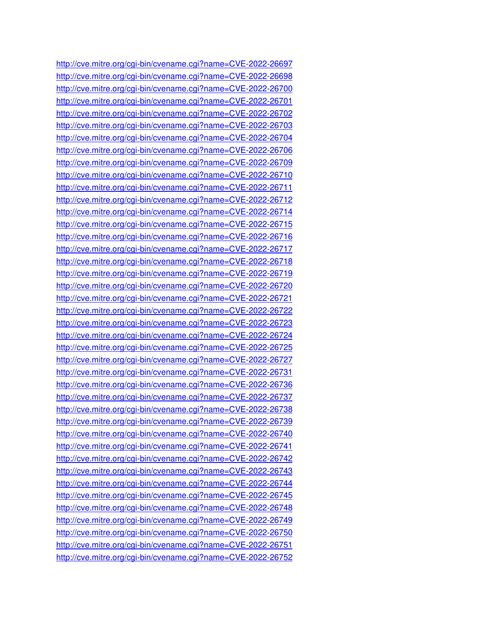http://cve.mitre.org/cgi-bin/cvename.cgi?name=CVE-2022-26697 http://cve.mitre.org/cgi-bin/cvename.cgi?name=CVE-2022-26698 http://cve.mitre.org/cgi-bin/cvename.cgi?name=CVE-2022-26700 http://cve.mitre.org/cgi-bin/cvename.cgi?name=CVE-2022-26701 http://cve.mitre.org/cgi-bin/cvename.cgi?name=CVE-2022-26702 http://cve.mitre.org/cgi-bin/cvename.cgi?name=CVE-2022-26703 http://cve.mitre.org/cgi-bin/cvename.cgi?name=CVE-2022-26704 http://cve.mitre.org/cgi-bin/cvename.cgi?name=CVE-2022-26706 http://cve.mitre.org/cgi-bin/cvename.cgi?name=CVE-2022-26709 http://cve.mitre.org/cgi-bin/cvename.cgi?name=CVE-2022-26710 http://cve.mitre.org/cgi-bin/cvename.cgi?name=CVE-2022-26711 http://cve.mitre.org/cgi-bin/cvename.cgi?name=CVE-2022-26712 http://cve.mitre.org/cgi-bin/cvename.cgi?name=CVE-2022-26714 http://cve.mitre.org/cgi-bin/cvename.cgi?name=CVE-2022-26715 http://cve.mitre.org/cgi-bin/cvename.cgi?name=CVE-2022-26716 http://cve.mitre.org/cgi-bin/cvename.cgi?name=CVE-2022-26717 http://cve.mitre.org/cgi-bin/cvename.cgi?name=CVE-2022-26718 http://cve.mitre.org/cgi-bin/cvename.cgi?name=CVE-2022-26719 http://cve.mitre.org/cgi-bin/cvename.cgi?name=CVE-2022-26720 http://cve.mitre.org/cgi-bin/cvename.cgi?name=CVE-2022-26721 http://cve.mitre.org/cgi-bin/cvename.cgi?name=CVE-2022-26722 http://cve.mitre.org/cgi-bin/cvename.cgi?name=CVE-2022-26723 http://cve.mitre.org/cgi-bin/cvename.cgi?name=CVE-2022-26724 http://cve.mitre.org/cgi-bin/cvename.cgi?name=CVE-2022-26725 http://cve.mitre.org/cgi-bin/cvename.cgi?name=CVE-2022-26727 http://cve.mitre.org/cgi-bin/cvename.cgi?name=CVE-2022-26731 http://cve.mitre.org/cgi-bin/cvename.cgi?name=CVE-2022-26736 http://cve.mitre.org/cgi-bin/cvename.cgi?name=CVE-2022-26737 http://cve.mitre.org/cgi-bin/cvename.cgi?name=CVE-2022-26738 http://cve.mitre.org/cgi-bin/cvename.cgi?name=CVE-2022-26739 http://cve.mitre.org/cgi-bin/cvename.cgi?name=CVE-2022-26740 http://cve.mitre.org/cgi-bin/cvename.cgi?name=CVE-2022-26741 http://cve.mitre.org/cgi-bin/cvename.cgi?name=CVE-2022-26742 http://cve.mitre.org/cgi-bin/cvename.cgi?name=CVE-2022-26743 http://cve.mitre.org/cgi-bin/cvename.cgi?name=CVE-2022-26744 http://cve.mitre.org/cgi-bin/cvename.cgi?name=CVE-2022-26745 http://cve.mitre.org/cgi-bin/cvename.cgi?name=CVE-2022-26748 http://cve.mitre.org/cgi-bin/cvename.cgi?name=CVE-2022-26749 http://cve.mitre.org/cgi-bin/cvename.cgi?name=CVE-2022-26750 http://cve.mitre.org/cgi-bin/cvename.cgi?name=CVE-2022-26751 http://cve.mitre.org/cgi-bin/cvename.cgi?name=CVE-2022-26752